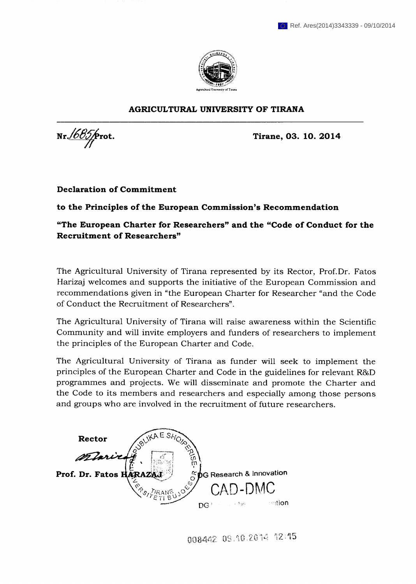

## **AGRICULTURAL UNIVERSITY OF TIRANA**

Nr. *Nr. <b>665 f Firmulary* **Extra Extra a Extra a Extra a Extra a Extra a Extra a Extra a Extra a Extra a Extra a Extra a Extra a Extra a Extra a Extra a Extra a Extra a Extra** 

**Declaration of Commitment** 

**to the Principles of the European Commission's Recommendation** 

**"The European Charter for Researchers" and the "Code of Conduct for the Recruitment of Researchers"** 

The Agricultural University of Tirana represented by its Rector, Prof. Dr. Fatos Harizaj welcomes and supports the initiative of the European Commission and recommendations given in "the European Charter for Researcher "and the Code of Conduct the Recruitment of Researchers".

The Agricultural University of Tirana will raise awareness within the Scientific Community and will invite employers and funders of researchers to implement the principles of the European Charter and Code.

The Agricultural University of Tirana as funder will seek to implement the principles of the European Charter and Code in the guidelines for relevant R&D programmes and projects. We will disseminate and promote the Charter and the Code to its members and researchers and especially among those persons and groups who are involved in the recruitment of future researchers.

**Rector** mini  $b$ G Research & Innovation Prof. Dr. Fatos HARAZY *<u>intion</u>*  $DG^+$  $\rightarrow$  has

008442 09.10.2014 12:15